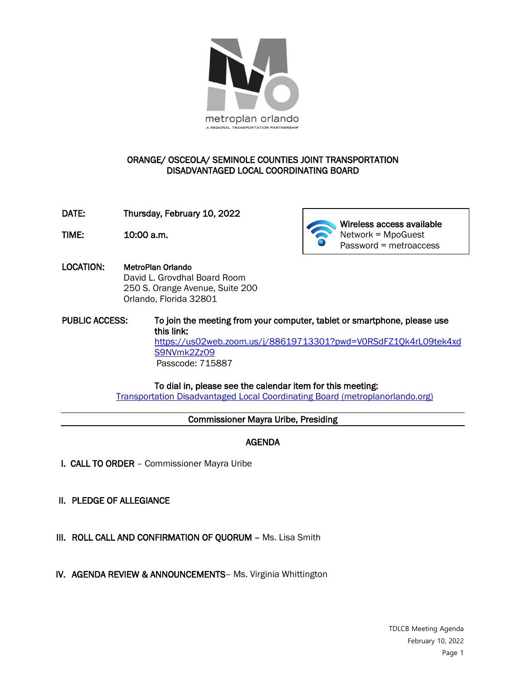

## ORANGE/ OSCEOLA/ SEMINOLE COUNTIES JOINT TRANSPORTATION DISADVANTAGED LOCAL COORDINATING BOARD

- DATE: Thursday, February 10, 2022
- 



- LOCATION: MetroPlan Orlando David L. Grovdhal Board Room 250 S. Orange Avenue, Suite 200 Orlando, Florida 32801
- PUBLIC ACCESS: To join the meeting from your computer, tablet or smartphone, please use this link: [https://us02web.zoom.us/j/88619713301?pwd=V0RSdFZ1Qk4rL09tek4xd](https://us02web.zoom.us/j/88619713301?pwd=V0RSdFZ1Qk4rL09tek4xdS9NVmk2Zz09) [S9NVmk2Zz09](https://us02web.zoom.us/j/88619713301?pwd=V0RSdFZ1Qk4rL09tek4xdS9NVmk2Zz09) Passcode: 715887

 To dial in, please see the calendar item for this meeting: [Transportation Disadvantaged Local Coordinating Board \(metroplanorlando.org\)](https://metroplanorlando.org/meetings/transportation-disadvantaged-local-coordinating-board-02-10-22/) 

#### Commissioner Mayra Uribe, Presiding

# AGENDA

- I. CALL TO ORDER Commissioner Mayra Uribe
- II. PLEDGE OF ALLEGIANCE

- III. ROLL CALL AND CONFIRMATION OF QUORUM Ms. Lisa Smith
- IV. AGENDA REVIEW & ANNOUNCEMENTS– Ms. Virginia Whittington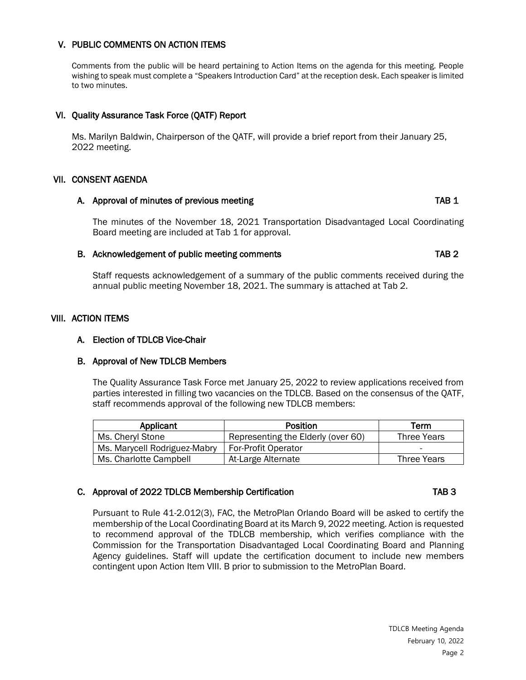## V. PUBLIC COMMENTS ON ACTION ITEMS

Comments from the public will be heard pertaining to Action Items on the agenda for this meeting. People wishing to speak must complete a "Speakers Introduction Card" at the reception desk. Each speaker is limited to two minutes.

## VI. Quality Assurance Task Force (QATF) Report

Ms. Marilyn Baldwin, Chairperson of the QATF, will provide a brief report from their January 25, 2022 meeting.

#### VII. CONSENT AGENDA

#### A. Approval of minutes of previous meeting TAB 1

The minutes of the November 18, 2021 Transportation Disadvantaged Local Coordinating Board meeting are included at Tab 1 for approval.

#### B. Acknowledgement of public meeting comments TAB 2

Staff requests acknowledgement of a summary of the public comments received during the annual public meeting November 18, 2021. The summary is attached at Tab 2.

## VIII. ACTION ITEMS

## A. Election of TDLCB Vice-Chair

#### B. Approval of New TDLCB Members

The Quality Assurance Task Force met January 25, 2022 to review applications received from parties interested in filling two vacancies on the TDLCB. Based on the consensus of the QATF, staff recommends approval of the following new TDLCB members:

| Applicant                    | <b>Position</b>                    | Term                     |
|------------------------------|------------------------------------|--------------------------|
| Ms. Cheryl Stone             | Representing the Elderly (over 60) | <b>Three Years</b>       |
| Ms. Marycell Rodriguez-Mabry | <b>For-Profit Operator</b>         | $\overline{\phantom{0}}$ |
| Ms. Charlotte Campbell       | At-Large Alternate                 | <b>Three Years</b>       |

## C. Approval of 2022 TDLCB Membership Certification Cases and TAB 3

#### Pursuant to Rule 41-2.012(3), FAC, the MetroPlan Orlando Board will be asked to certify the membership of the Local Coordinating Board at its March 9, 2022 meeting. Action is requested to recommend approval of the TDLCB membership, which verifies compliance with the Commission for the Transportation Disadvantaged Local Coordinating Board and Planning Agency guidelines. Staff will update the certification document to include new members contingent upon Action Item VIII. B prior to submission to the MetroPlan Board.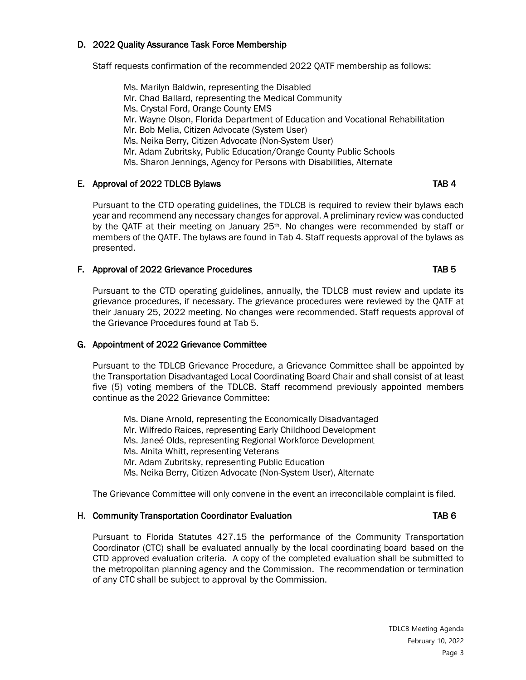## D. 2022 Quality Assurance Task Force Membership

Staff requests confirmation of the recommended 2022 QATF membership as follows:

Ms. Marilyn Baldwin, representing the Disabled Mr. Chad Ballard, representing the Medical Community Ms. Crystal Ford, Orange County EMS Mr. Wayne Olson, Florida Department of Education and Vocational Rehabilitation Mr. Bob Melia, Citizen Advocate (System User) Ms. Neika Berry, Citizen Advocate (Non-System User) Mr. Adam Zubritsky, Public Education/Orange County Public Schools Ms. Sharon Jennings, Agency for Persons with Disabilities, Alternate

## E. Approval of 2022 TDLCB Bylaws TAB 4

Pursuant to the CTD operating guidelines, the TDLCB is required to review their bylaws each year and recommend any necessary changes for approval. A preliminary review was conducted by the QATF at their meeting on January 25<sup>th</sup>. No changes were recommended by staff or members of the QATF. The bylaws are found in Tab 4. Staff requests approval of the bylaws as presented.

### F. Approval of 2022 Grievance Procedures TAB 5

Pursuant to the CTD operating guidelines, annually, the TDLCB must review and update its grievance procedures, if necessary. The grievance procedures were reviewed by the QATF at their January 25, 2022 meeting. No changes were recommended. Staff requests approval of the Grievance Procedures found at Tab 5.

#### G. Appointment of 2022 Grievance Committee

Pursuant to the TDLCB Grievance Procedure, a Grievance Committee shall be appointed by the Transportation Disadvantaged Local Coordinating Board Chair and shall consist of at least five (5) voting members of the TDLCB. Staff recommend previously appointed members continue as the 2022 Grievance Committee:

Ms. Diane Arnold, representing the Economically Disadvantaged Mr. Wilfredo Raices, representing Early Childhood Development Ms. Janeé Olds, representing Regional Workforce Development Ms. Alnita Whitt, representing Veterans Mr. Adam Zubritsky, representing Public Education Ms. Neika Berry, Citizen Advocate (Non-System User), Alternate

The Grievance Committee will only convene in the event an irreconcilable complaint is filed.

#### H. Community Transportation Coordinator Evaluation TAB 6

Pursuant to Florida Statutes 427.15 the performance of the Community Transportation Coordinator (CTC) shall be evaluated annually by the local coordinating board based on the CTD approved evaluation criteria. A copy of the completed evaluation shall be submitted to the metropolitan planning agency and the Commission. The recommendation or termination of any CTC shall be subject to approval by the Commission.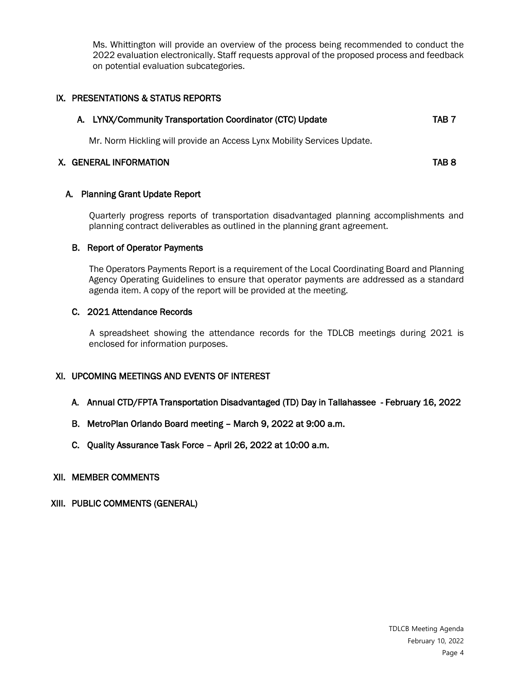Ms. Whittington will provide an overview of the process being recommended to conduct the 2022 evaluation electronically. Staff requests approval of the proposed process and feedback on potential evaluation subcategories.

# IX. PRESENTATIONS & STATUS REPORTS

|  | A. LYNX/Community Transportation Coordinator (CTC) Update | TAB 7 |
|--|-----------------------------------------------------------|-------|
|--|-----------------------------------------------------------|-------|

Mr. Norm Hickling will provide an Access Lynx Mobility Services Update.

## X. GENERAL INFORMATION TAB 8

## A. Planning Grant Update Report

 Quarterly progress reports of transportation disadvantaged planning accomplishments and planning contract deliverables as outlined in the planning grant agreement.

## B. Report of Operator Payments

 The Operators Payments Report is a requirement of the Local Coordinating Board and Planning Agency Operating Guidelines to ensure that operator payments are addressed as a standard agenda item. A copy of the report will be provided at the meeting.

## C. 2021 Attendance Records

A spreadsheet showing the attendance records for the TDLCB meetings during 2021 is enclosed for information purposes.

# XI. UPCOMING MEETINGS AND EVENTS OF INTEREST

- A. Annual CTD/FPTA Transportation Disadvantaged (TD) Day in Tallahassee February 16, 2022
- B. MetroPlan Orlando Board meeting March 9, 2022 at 9:00 a.m.
- C. Quality Assurance Task Force April 26, 2022 at 10:00 a.m.

## XII. MEMBER COMMENTS

# XIII. PUBLIC COMMENTS (GENERAL)